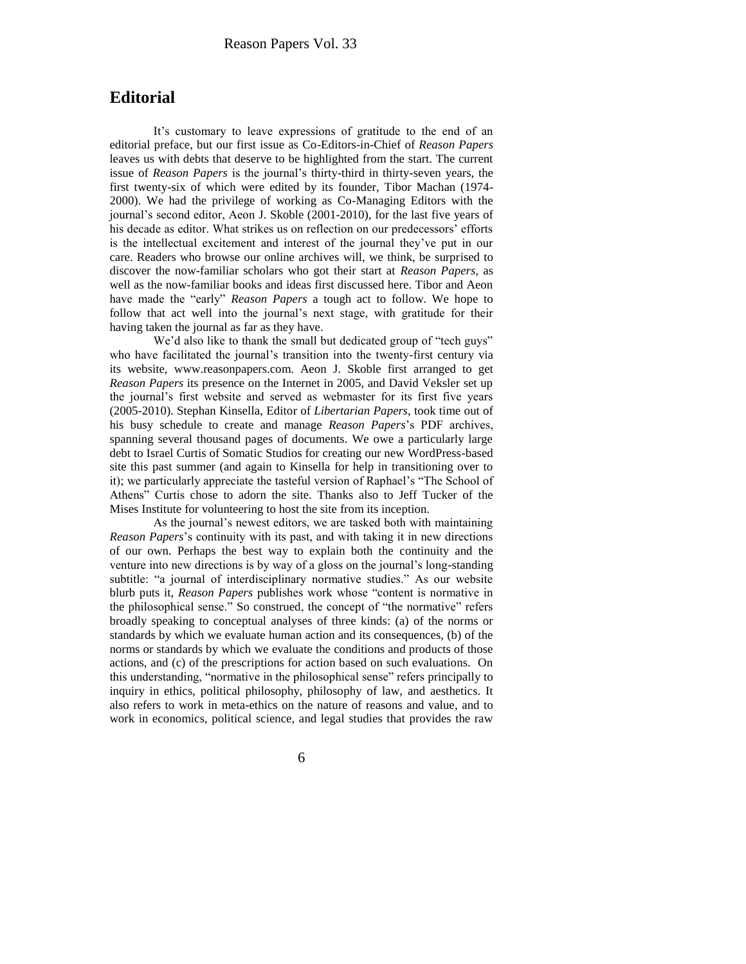## **Editorial**

It's customary to leave expressions of gratitude to the end of an editorial preface, but our first issue as Co-Editors-in-Chief of *Reason Papers*  leaves us with debts that deserve to be highlighted from the start. The current issue of *Reason Papers* is the journal's thirty-third in thirty-seven years, the first twenty-six of which were edited by its founder, Tibor Machan (1974- 2000). We had the privilege of working as Co-Managing Editors with the journal's second editor, Aeon J. Skoble (2001-2010), for the last five years of his decade as editor. What strikes us on reflection on our predecessors' efforts is the intellectual excitement and interest of the journal they've put in our care. Readers who browse our online archives will, we think, be surprised to discover the now-familiar scholars who got their start at *Reason Papers*, as well as the now-familiar books and ideas first discussed here. Tibor and Aeon have made the "early" *Reason Papers* a tough act to follow. We hope to follow that act well into the journal's next stage, with gratitude for their having taken the journal as far as they have.

We'd also like to thank the small but dedicated group of "tech guys" who have facilitated the journal's transition into the twenty-first century via its website, www.reasonpapers.com. Aeon J. Skoble first arranged to get *Reason Papers* its presence on the Internet in 2005, and David Veksler set up the journal's first website and served as webmaster for its first five years (2005-2010). Stephan Kinsella, Editor of *Libertarian Papers*, took time out of his busy schedule to create and manage *Reason Papers*'s PDF archives, spanning several thousand pages of documents. We owe a particularly large debt to Israel Curtis of Somatic Studios for creating our new WordPress-based site this past summer (and again to Kinsella for help in transitioning over to it); we particularly appreciate the tasteful version of Raphael's "The School of Athens" Curtis chose to adorn the site. Thanks also to Jeff Tucker of the Mises Institute for volunteering to host the site from its inception.

As the journal's newest editors, we are tasked both with maintaining *Reason Papers*'s continuity with its past, and with taking it in new directions of our own. Perhaps the best way to explain both the continuity and the venture into new directions is by way of a gloss on the journal's long-standing subtitle: "a journal of interdisciplinary normative studies." As our website blurb puts it, *Reason Papers* publishes work whose "content is normative in the philosophical sense." So construed, the concept of "the normative" refers broadly speaking to conceptual analyses of three kinds: (a) of the norms or standards by which we evaluate human action and its consequences, (b) of the norms or standards by which we evaluate the conditions and products of those actions, and (c) of the prescriptions for action based on such evaluations. On this understanding, "normative in the philosophical sense" refers principally to inquiry in ethics, political philosophy, philosophy of law, and aesthetics. It also refers to work in meta-ethics on the nature of reasons and value, and to work in economics, political science, and legal studies that provides the raw

6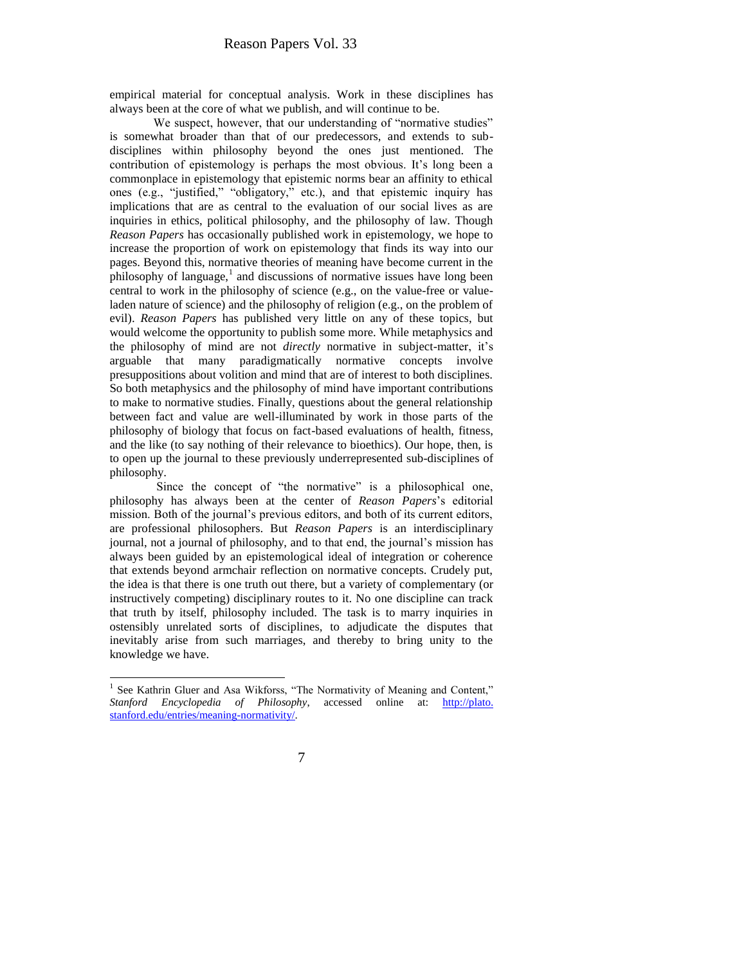empirical material for conceptual analysis. Work in these disciplines has always been at the core of what we publish, and will continue to be.

We suspect, however, that our understanding of "normative studies" is somewhat broader than that of our predecessors, and extends to subdisciplines within philosophy beyond the ones just mentioned. The contribution of epistemology is perhaps the most obvious. It's long been a commonplace in epistemology that epistemic norms bear an affinity to ethical ones (e.g., "justified," "obligatory," etc.), and that epistemic inquiry has implications that are as central to the evaluation of our social lives as are inquiries in ethics, political philosophy, and the philosophy of law. Though *Reason Papers* has occasionally published work in epistemology, we hope to increase the proportion of work on epistemology that finds its way into our pages. Beyond this, normative theories of meaning have become current in the  $\frac{1}{2}$  philosophy of language,<sup>1</sup> and discussions of normative issues have long been central to work in the philosophy of science (e.g., on the value-free or valueladen nature of science) and the philosophy of religion (e.g., on the problem of evil). *Reason Papers* has published very little on any of these topics, but would welcome the opportunity to publish some more. While metaphysics and the philosophy of mind are not *directly* normative in subject-matter, it's arguable that many paradigmatically normative concepts involve presuppositions about volition and mind that are of interest to both disciplines. So both metaphysics and the philosophy of mind have important contributions to make to normative studies. Finally, questions about the general relationship between fact and value are well-illuminated by work in those parts of the philosophy of biology that focus on fact-based evaluations of health, fitness, and the like (to say nothing of their relevance to bioethics). Our hope, then, is to open up the journal to these previously underrepresented sub-disciplines of philosophy.

Since the concept of "the normative" is a philosophical one, philosophy has always been at the center of *Reason Papers*'s editorial mission. Both of the journal's previous editors, and both of its current editors, are professional philosophers. But *Reason Papers* is an interdisciplinary journal, not a journal of philosophy, and to that end, the journal's mission has always been guided by an epistemological ideal of integration or coherence that extends beyond armchair reflection on normative concepts. Crudely put, the idea is that there is one truth out there, but a variety of complementary (or instructively competing) disciplinary routes to it. No one discipline can track that truth by itself, philosophy included. The task is to marry inquiries in ostensibly unrelated sorts of disciplines, to adjudicate the disputes that inevitably arise from such marriages, and thereby to bring unity to the knowledge we have.

<sup>&</sup>lt;sup>1</sup> See Kathrin Gluer and Asa Wikforss, "The Normativity of Meaning and Content," Stanford Encyclopedia of Philosophy, accessed online at: **http://plato.** stanford.edu/entries/meaning-normativity/.

<sup>7</sup>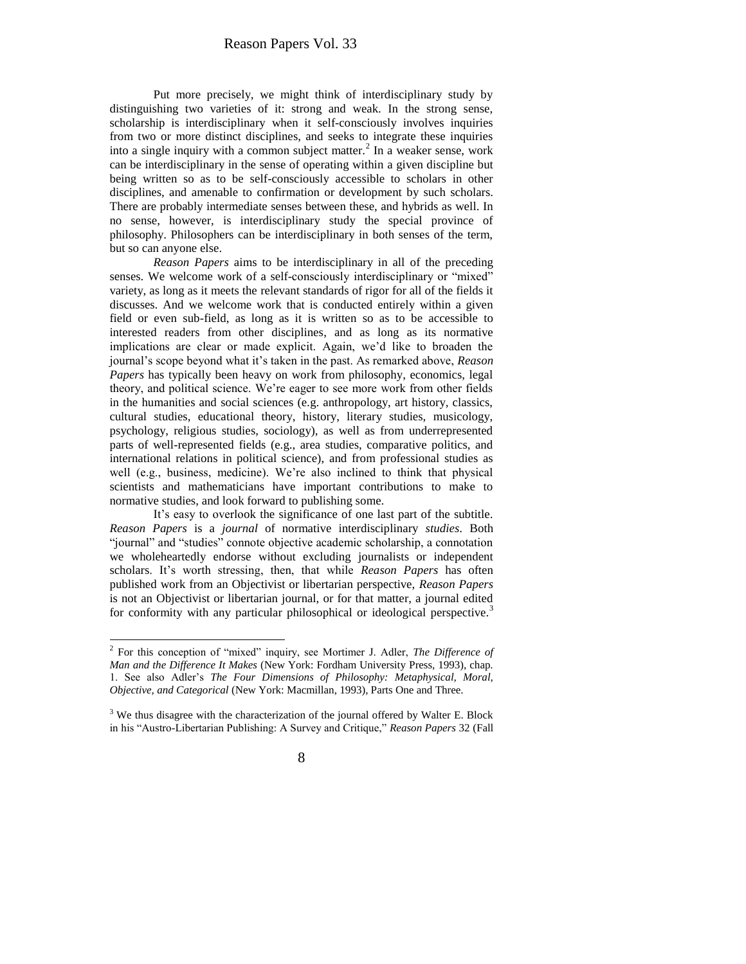Put more precisely, we might think of interdisciplinary study by distinguishing two varieties of it: strong and weak. In the strong sense, scholarship is interdisciplinary when it self-consciously involves inquiries from two or more distinct disciplines, and seeks to integrate these inquiries into a single inquiry with a common subject matter.<sup>2</sup> In a weaker sense, work can be interdisciplinary in the sense of operating within a given discipline but being written so as to be self-consciously accessible to scholars in other disciplines, and amenable to confirmation or development by such scholars. There are probably intermediate senses between these, and hybrids as well. In no sense, however, is interdisciplinary study the special province of philosophy. Philosophers can be interdisciplinary in both senses of the term, but so can anyone else.

*Reason Papers* aims to be interdisciplinary in all of the preceding senses. We welcome work of a self-consciously interdisciplinary or "mixed" variety, as long as it meets the relevant standards of rigor for all of the fields it discusses. And we welcome work that is conducted entirely within a given field or even sub-field, as long as it is written so as to be accessible to interested readers from other disciplines, and as long as its normative implications are clear or made explicit. Again, we'd like to broaden the journal's scope beyond what it's taken in the past. As remarked above, *Reason Papers* has typically been heavy on work from philosophy, economics, legal theory, and political science. We're eager to see more work from other fields in the humanities and social sciences (e.g. anthropology, art history, classics, cultural studies, educational theory, history, literary studies, musicology, psychology, religious studies, sociology), as well as from underrepresented parts of well-represented fields (e.g., area studies, comparative politics, and international relations in political science), and from professional studies as well (e.g., business, medicine). We're also inclined to think that physical scientists and mathematicians have important contributions to make to normative studies, and look forward to publishing some.

It's easy to overlook the significance of one last part of the subtitle. *Reason Papers* is a *journal* of normative interdisciplinary *studies*. Both "journal" and "studies" connote objective academic scholarship, a connotation we wholeheartedly endorse without excluding journalists or independent scholars. It's worth stressing, then, that while *Reason Papers* has often published work from an Objectivist or libertarian perspective, *Reason Papers*  is not an Objectivist or libertarian journal, or for that matter, a journal edited for conformity with any particular philosophical or ideological perspective.<sup>3</sup>

 2 For this conception of "mixed" inquiry, see Mortimer J. Adler, *The Difference of Man and the Difference It Makes* (New York: Fordham University Press, 1993), chap. 1. See also Adler's *The Four Dimensions of Philosophy: Metaphysical, Moral, Objective, and Categorical* (New York: Macmillan, 1993), Parts One and Three.

 $3$  We thus disagree with the characterization of the journal offered by Walter E. Block in his "Austro-Libertarian Publishing: A Survey and Critique," *Reason Papers* 32 (Fall

<sup>8</sup>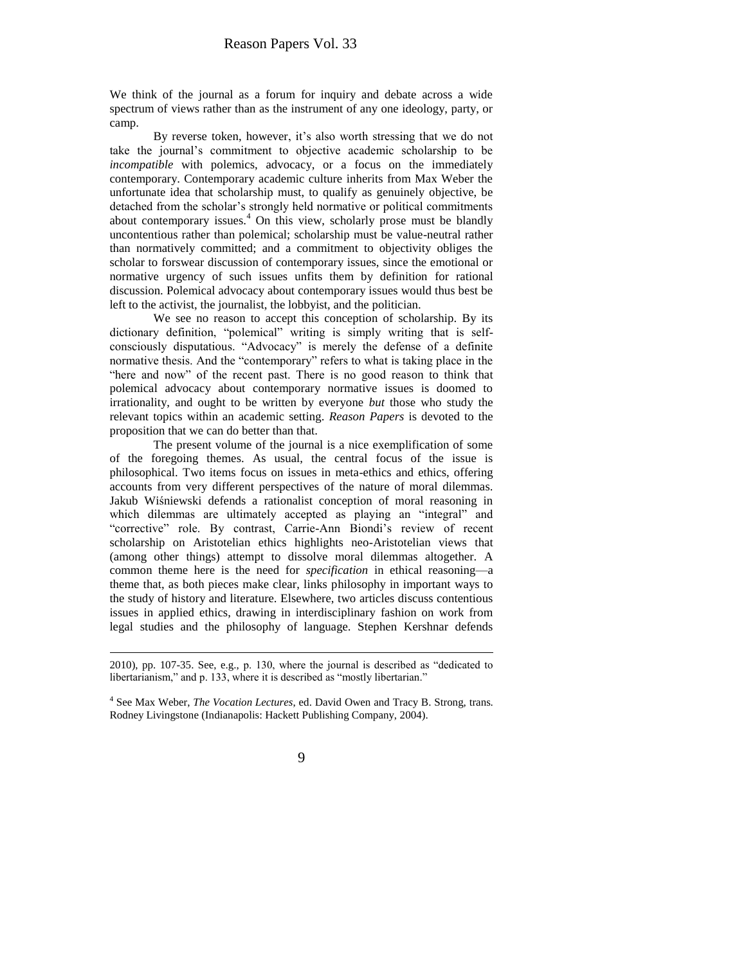We think of the journal as a forum for inquiry and debate across a wide spectrum of views rather than as the instrument of any one ideology, party, or camp.

By reverse token, however, it's also worth stressing that we do not take the journal's commitment to objective academic scholarship to be *incompatible* with polemics, advocacy, or a focus on the immediately contemporary. Contemporary academic culture inherits from Max Weber the unfortunate idea that scholarship must, to qualify as genuinely objective, be detached from the scholar's strongly held normative or political commitments about contemporary issues.<sup>4</sup> On this view, scholarly prose must be blandly uncontentious rather than polemical; scholarship must be value-neutral rather than normatively committed; and a commitment to objectivity obliges the scholar to forswear discussion of contemporary issues, since the emotional or normative urgency of such issues unfits them by definition for rational discussion. Polemical advocacy about contemporary issues would thus best be left to the activist, the journalist, the lobbyist, and the politician.

We see no reason to accept this conception of scholarship. By its dictionary definition, "polemical" writing is simply writing that is selfconsciously disputatious. "Advocacy" is merely the defense of a definite normative thesis. And the "contemporary" refers to what is taking place in the "here and now" of the recent past. There is no good reason to think that polemical advocacy about contemporary normative issues is doomed to irrationality, and ought to be written by everyone *but* those who study the relevant topics within an academic setting. *Reason Papers* is devoted to the proposition that we can do better than that.

The present volume of the journal is a nice exemplification of some of the foregoing themes. As usual, the central focus of the issue is philosophical. Two items focus on issues in meta-ethics and ethics, offering accounts from very different perspectives of the nature of moral dilemmas. Jakub Wiśniewski defends a rationalist conception of moral reasoning in which dilemmas are ultimately accepted as playing an "integral" and "corrective" role. By contrast, Carrie-Ann Biondi's review of recent scholarship on Aristotelian ethics highlights neo-Aristotelian views that (among other things) attempt to dissolve moral dilemmas altogether. A common theme here is the need for *specification* in ethical reasoning—a theme that, as both pieces make clear, links philosophy in important ways to the study of history and literature. Elsewhere, two articles discuss contentious issues in applied ethics, drawing in interdisciplinary fashion on work from legal studies and the philosophy of language. Stephen Kershnar defends

 $\overline{a}$ 

<sup>2010),</sup> pp. 107-35. See, e.g., p. 130, where the journal is described as "dedicated to libertarianism," and p. 133, where it is described as "mostly libertarian."

<sup>4</sup> See Max Weber, *The Vocation Lectures*, ed. David Owen and Tracy B. Strong, trans. Rodney Livingstone (Indianapolis: Hackett Publishing Company, 2004).

<sup>9</sup>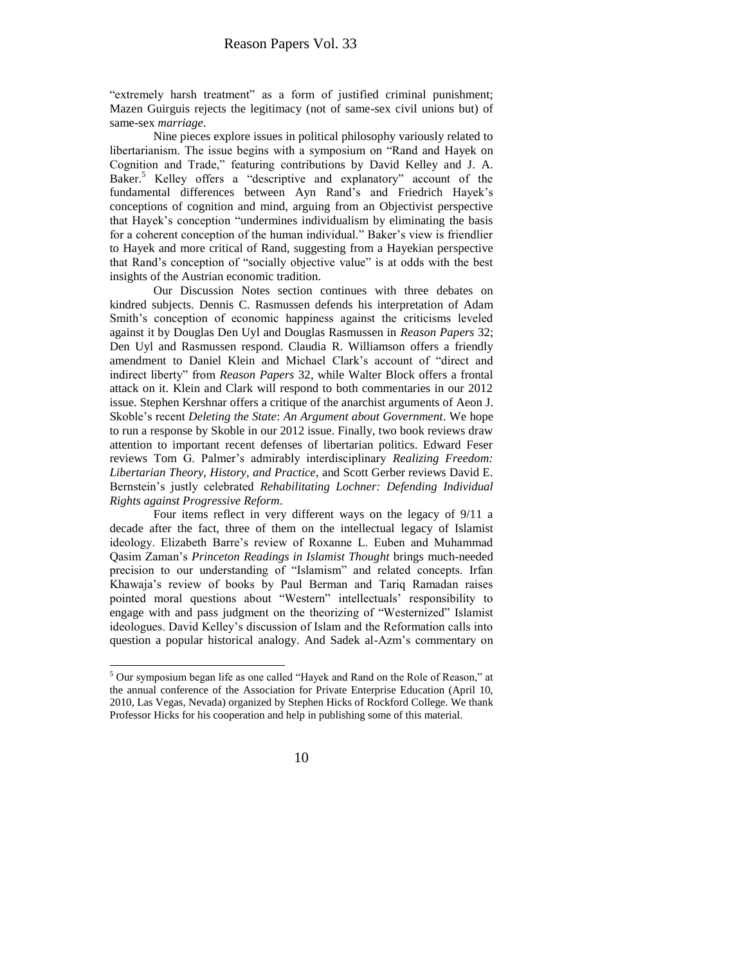"extremely harsh treatment" as a form of justified criminal punishment; Mazen Guirguis rejects the legitimacy (not of same-sex civil unions but) of same-sex *marriage*.

Nine pieces explore issues in political philosophy variously related to libertarianism. The issue begins with a symposium on "Rand and Hayek on Cognition and Trade," featuring contributions by David Kelley and J. A. Baker.<sup>5</sup> Kelley offers a "descriptive and explanatory" account of the fundamental differences between Ayn Rand's and Friedrich Hayek's conceptions of cognition and mind, arguing from an Objectivist perspective that Hayek's conception "undermines individualism by eliminating the basis for a coherent conception of the human individual." Baker's view is friendlier to Hayek and more critical of Rand, suggesting from a Hayekian perspective that Rand's conception of "socially objective value" is at odds with the best insights of the Austrian economic tradition.

Our Discussion Notes section continues with three debates on kindred subjects. Dennis C. Rasmussen defends his interpretation of Adam Smith's conception of economic happiness against the criticisms leveled against it by Douglas Den Uyl and Douglas Rasmussen in *Reason Papers* 32; Den Uyl and Rasmussen respond. Claudia R. Williamson offers a friendly amendment to Daniel Klein and Michael Clark's account of "direct and indirect liberty" from *Reason Papers* 32, while Walter Block offers a frontal attack on it. Klein and Clark will respond to both commentaries in our 2012 issue. Stephen Kershnar offers a critique of the anarchist arguments of Aeon J. Skoble's recent *Deleting the State*: *An Argument about Government*. We hope to run a response by Skoble in our 2012 issue. Finally, two book reviews draw attention to important recent defenses of libertarian politics. Edward Feser reviews Tom G. Palmer's admirably interdisciplinary *Realizing Freedom: Libertarian Theory, History, and Practice*, and Scott Gerber reviews David E. Bernstein's justly celebrated *Rehabilitating Lochner: Defending Individual Rights against Progressive Reform*.

Four items reflect in very different ways on the legacy of 9/11 a decade after the fact, three of them on the intellectual legacy of Islamist ideology. Elizabeth Barre's review of Roxanne L. Euben and Muhammad Qasim Zaman's *Princeton Readings in Islamist Thought* brings much-needed precision to our understanding of "Islamism" and related concepts. Irfan Khawaja's review of books by Paul Berman and Tariq Ramadan raises pointed moral questions about "Western" intellectuals' responsibility to engage with and pass judgment on the theorizing of "Westernized" Islamist ideologues. David Kelley's discussion of Islam and the Reformation calls into question a popular historical analogy. And Sadek al-Azm's commentary on

 $\overline{a}$ 



<sup>&</sup>lt;sup>5</sup> Our symposium began life as one called "Hayek and Rand on the Role of Reason," at the annual conference of the Association for Private Enterprise Education (April 10, 2010, Las Vegas, Nevada) organized by Stephen Hicks of Rockford College. We thank Professor Hicks for his cooperation and help in publishing some of this material.